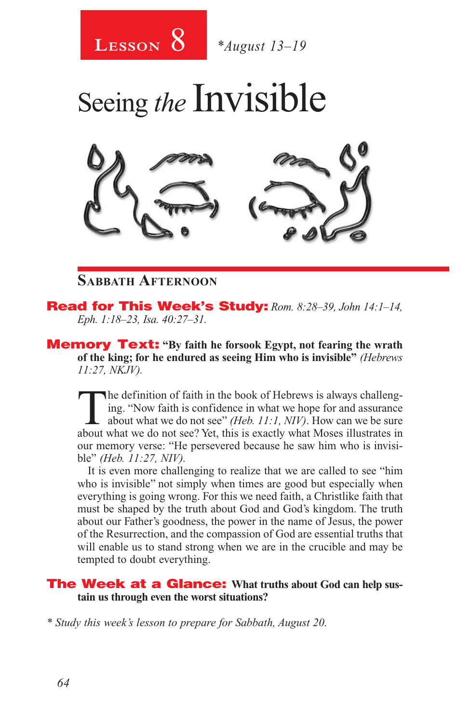



#### **Sabbath Afternoon**

Read for This Week's Study: *Rom. 8:28–39, John 14:1–14, Eph. 1:18–23, Isa. 40:27–31.*

Memory Text: **"By faith he forsook Egypt, not fearing the wrath of the king; for he endured as seeing Him who is invisible"** *(Hebrews 11:27, NKJV).* 

The definition of faith in the book of Hebrews is always challeng-<br>ing. "Now faith is confidence in what we hope for and assurance<br>about what we do not see" *(Heb. 11:1, NIV)*. How can we be sure<br>about what we do not see? ing. "Now faith is confidence in what we hope for and assurance about what we do not see? Yet, this is exactly what Moses illustrates in our memory verse: "He persevered because he saw him who is invisible" *(Heb. 11:27, NIV).*

It is even more challenging to realize that we are called to see "him who is invisible" not simply when times are good but especially when everything is going wrong. For this we need faith, a Christlike faith that must be shaped by the truth about God and God's kingdom. The truth about our Father's goodness, the power in the name of Jesus, the power of the Resurrection, and the compassion of God are essential truths that will enable us to stand strong when we are in the crucible and may be tempted to doubt everything.

#### The Week at a Glance: **What truths about God can help sustain us through even the worst situations?**

*\* Study this week's lesson to prepare for Sabbath, August 20.*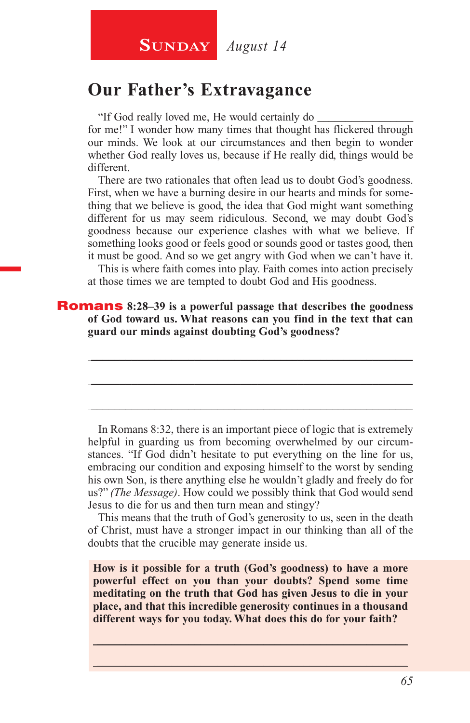**SUNDAY** August 14

#### **Our Father's Extravagance**

"If God really loved me, He would certainly do \_\_\_\_\_\_\_\_\_\_\_\_\_\_\_\_\_

for me!" I wonder how many times that thought has flickered through our minds. We look at our circumstances and then begin to wonder whether God really loves us, because if He really did, things would be different.

There are two rationales that often lead us to doubt God's goodness. First, when we have a burning desire in our hearts and minds for something that we believe is good, the idea that God might want something different for us may seem ridiculous. Second, we may doubt God's goodness because our experience clashes with what we believe. If something looks good or feels good or sounds good or tastes good, then it must be good. And so we get angry with God when we can't have it.

This is where faith comes into play. Faith comes into action precisely at those times we are tempted to doubt God and His goodness.

\_\_\_\_\_\_\_\_\_\_\_\_\_\_\_\_\_\_\_\_\_\_\_\_\_\_\_\_\_\_\_\_\_\_\_\_\_\_\_\_\_\_\_\_\_\_\_\_\_\_\_\_\_\_\_\_

\_\_\_\_\_\_\_\_\_\_\_\_\_\_\_\_\_\_\_\_\_\_\_\_\_\_\_\_\_\_\_\_\_\_\_\_\_\_\_\_\_\_\_\_\_\_\_\_\_\_\_\_\_\_\_\_

\_\_\_\_\_\_\_\_\_\_\_\_\_\_\_\_\_\_\_\_\_\_\_\_\_\_\_\_\_\_\_\_\_\_\_\_\_\_\_\_\_\_\_\_\_\_\_\_\_\_\_\_\_\_\_\_

Romans **8:28–39 is a powerful passage that describes the goodness of God toward us. What reasons can you find in the text that can guard our minds against doubting God's goodness?**

In Romans 8:32, there is an important piece of logic that is extremely helpful in guarding us from becoming overwhelmed by our circumstances. "If God didn't hesitate to put everything on the line for us, embracing our condition and exposing himself to the worst by sending his own Son, is there anything else he wouldn't gladly and freely do for us?" *(The Message)*. How could we possibly think that God would send Jesus to die for us and then turn mean and stingy?

This means that the truth of God's generosity to us, seen in the death of Christ, must have a stronger impact in our thinking than all of the doubts that the crucible may generate inside us.

**How is it possible for a truth (God's goodness) to have a more powerful effect on you than your doubts? Spend some time meditating on the truth that God has given Jesus to die in your place, and that this incredible generosity continues in a thousand different ways for you today. What does this do for your faith?**

 $\_$  , and the set of the set of the set of the set of the set of the set of the set of the set of the set of the set of the set of the set of the set of the set of the set of the set of the set of the set of the set of th \_\_\_\_\_\_\_\_\_\_\_\_\_\_\_\_\_\_\_\_\_\_\_\_\_\_\_\_\_\_\_\_\_\_\_\_\_\_\_\_\_\_\_\_\_\_\_\_\_\_\_\_\_\_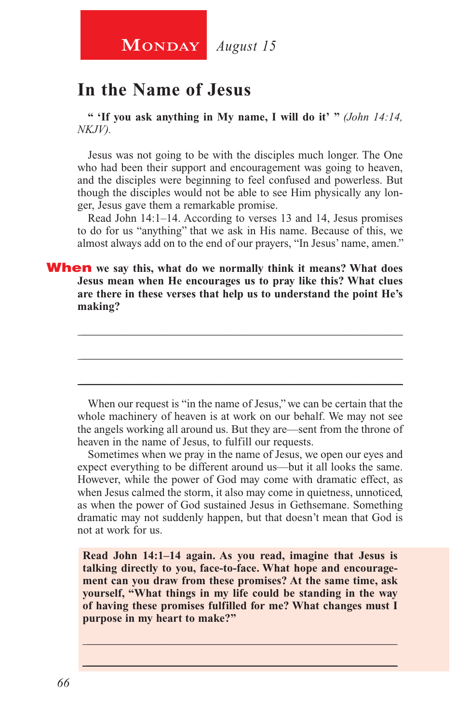# **In the Name of Jesus**

**" 'If you ask anything in My name, I will do it' "** *(John 14:14, NKJV).*

Jesus was not going to be with the disciples much longer. The One who had been their support and encouragement was going to heaven, and the disciples were beginning to feel confused and powerless. But though the disciples would not be able to see Him physically any longer, Jesus gave them a remarkable promise.

Read John 14:1–14. According to verses 13 and 14, Jesus promises to do for us "anything" that we ask in His name. Because of this, we almost always add on to the end of our prayers, "In Jesus' name, amen."

When **we say this, what do we normally think it means? What does Jesus mean when He encourages us to pray like this? What clues are there in these verses that help us to understand the point He's making?**

When our request is "in the name of Jesus," we can be certain that the whole machinery of heaven is at work on our behalf. We may not see the angels working all around us. But they are—sent from the throne of heaven in the name of Jesus, to fulfill our requests.

\_\_\_\_\_\_\_\_\_\_\_\_\_\_\_\_\_\_\_\_\_\_\_\_\_\_\_\_\_\_\_\_\_\_\_\_\_\_\_\_\_\_\_\_\_\_\_\_\_\_\_\_\_\_\_\_

\_\_\_\_\_\_\_\_\_\_\_\_\_\_\_\_\_\_\_\_\_\_\_\_\_\_\_\_\_\_\_\_\_\_\_\_\_\_\_\_\_\_\_\_\_\_\_\_\_\_\_\_\_\_\_\_

\_\_\_\_\_\_\_\_\_\_\_\_\_\_\_\_\_\_\_\_\_\_\_\_\_\_\_\_\_\_\_\_\_\_\_\_\_\_\_\_\_\_\_\_\_\_\_\_\_\_\_\_\_\_\_\_

Sometimes when we pray in the name of Jesus, we open our eyes and expect everything to be different around us—but it all looks the same. However, while the power of God may come with dramatic effect, as when Jesus calmed the storm, it also may come in quietness, unnoticed, as when the power of God sustained Jesus in Gethsemane. Something dramatic may not suddenly happen, but that doesn't mean that God is not at work for us.

**Read John 14:1–14 again. As you read, imagine that Jesus is talking directly to you, face-to-face. What hope and encouragement can you draw from these promises? At the same time, ask yourself, "What things in my life could be standing in the way of having these promises fulfilled for me? What changes must I purpose in my heart to make?"**

\_\_\_\_\_\_\_\_\_\_\_\_\_\_\_\_\_\_\_\_\_\_\_\_\_\_\_\_\_\_\_\_\_\_\_\_\_\_\_\_\_\_\_\_\_\_\_\_\_\_\_\_\_\_ \_\_\_\_\_\_\_\_\_\_\_\_\_\_\_\_\_\_\_\_\_\_\_\_\_\_\_\_\_\_\_\_\_\_\_\_\_\_\_\_\_\_\_\_\_\_\_\_\_\_\_\_\_\_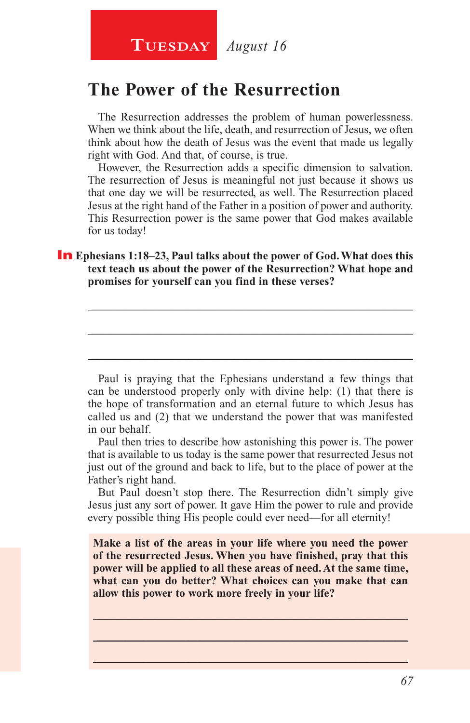# **The Power of the Resurrection**

The Resurrection addresses the problem of human powerlessness. When we think about the life, death, and resurrection of Jesus, we often think about how the death of Jesus was the event that made us legally right with God. And that, of course, is true.

However, the Resurrection adds a specific dimension to salvation. The resurrection of Jesus is meaningful not just because it shows us that one day we will be resurrected, as well. The Resurrection placed Jesus at the right hand of the Father in a position of power and authority. This Resurrection power is the same power that God makes available for us today!

#### **In** Ephesians 1:18–23, Paul talks about the power of God. What does this **text teach us about the power of the Resurrection? What hope and promises for yourself can you find in these verses?**

Paul is praying that the Ephesians understand a few things that can be understood properly only with divine help: (1) that there is the hope of transformation and an eternal future to which Jesus has called us and (2) that we understand the power that was manifested in our behalf.

\_\_\_\_\_\_\_\_\_\_\_\_\_\_\_\_\_\_\_\_\_\_\_\_\_\_\_\_\_\_\_\_\_\_\_\_\_\_\_\_\_\_\_\_\_\_\_\_\_\_\_\_\_\_\_\_

\_\_\_\_\_\_\_\_\_\_\_\_\_\_\_\_\_\_\_\_\_\_\_\_\_\_\_\_\_\_\_\_\_\_\_\_\_\_\_\_\_\_\_\_\_\_\_\_\_\_\_\_\_\_\_\_

\_\_\_\_\_\_\_\_\_\_\_\_\_\_\_\_\_\_\_\_\_\_\_\_\_\_\_\_\_\_\_\_\_\_\_\_\_\_\_\_\_\_\_\_\_\_\_\_\_\_\_\_\_\_\_\_

Paul then tries to describe how astonishing this power is. The power that is available to us today is the same power that resurrected Jesus not just out of the ground and back to life, but to the place of power at the Father's right hand.

But Paul doesn't stop there. The Resurrection didn't simply give Jesus just any sort of power. It gave Him the power to rule and provide every possible thing His people could ever need—for all eternity!

**Make a list of the areas in your life where you need the power of the resurrected Jesus. When you have finished, pray that this power will be applied to all these areas of need. At the same time, what can you do better? What choices can you make that can allow this power to work more freely in your life?**

\_\_\_\_\_\_\_\_\_\_\_\_\_\_\_\_\_\_\_\_\_\_\_\_\_\_\_\_\_\_\_\_\_\_\_\_\_\_\_\_\_\_\_\_\_\_\_\_\_\_\_\_\_\_ \_\_\_\_\_\_\_\_\_\_\_\_\_\_\_\_\_\_\_\_\_\_\_\_\_\_\_\_\_\_\_\_\_\_\_\_\_\_\_\_\_\_\_\_\_\_\_\_\_\_\_\_\_\_  $\_$  , and the set of the set of the set of the set of the set of the set of the set of the set of the set of the set of the set of the set of the set of the set of the set of the set of the set of the set of the set of th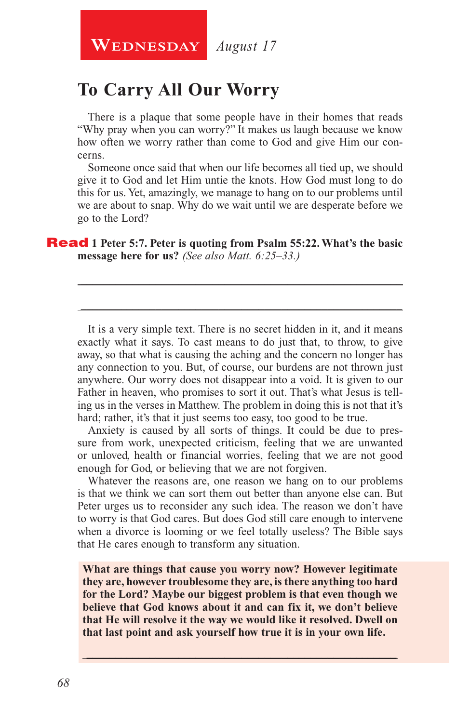**WEDNESDAY** August 17

## **To Carry All Our Worry**

There is a plaque that some people have in their homes that reads "Why pray when you can worry?" It makes us laugh because we know how often we worry rather than come to God and give Him our concerns.

Someone once said that when our life becomes all tied up, we should give it to God and let Him untie the knots. How God must long to do this for us. Yet, amazingly, we manage to hang on to our problems until we are about to snap. Why do we wait until we are desperate before we go to the Lord?

\_\_\_\_\_\_\_\_\_\_\_\_\_\_\_\_\_\_\_\_\_\_\_\_\_\_\_\_\_\_\_\_\_\_\_\_\_\_\_\_\_\_\_\_\_\_\_\_\_\_\_\_\_\_\_\_

\_\_\_\_\_\_\_\_\_\_\_\_\_\_\_\_\_\_\_\_\_\_\_\_\_\_\_\_\_\_\_\_\_\_\_\_\_\_\_\_\_\_\_\_\_\_\_\_\_\_\_\_\_\_\_\_

#### Read **1 Peter 5:7. Peter is quoting from Psalm 55:22. What's the basic message here for us?** *(See also Matt. 6:25–33.)*

It is a very simple text. There is no secret hidden in it, and it means exactly what it says. To cast means to do just that, to throw, to give away, so that what is causing the aching and the concern no longer has any connection to you. But, of course, our burdens are not thrown just anywhere. Our worry does not disappear into a void. It is given to our Father in heaven, who promises to sort it out. That's what Jesus is telling us in the verses in Matthew. The problem in doing this is not that it's hard; rather, it's that it just seems too easy, too good to be true.

Anxiety is caused by all sorts of things. It could be due to pressure from work, unexpected criticism, feeling that we are unwanted or unloved, health or financial worries, feeling that we are not good enough for God, or believing that we are not forgiven.

Whatever the reasons are, one reason we hang on to our problems is that we think we can sort them out better than anyone else can. But Peter urges us to reconsider any such idea. The reason we don't have to worry is that God cares. But does God still care enough to intervene when a divorce is looming or we feel totally useless? The Bible says that He cares enough to transform any situation.

**What are things that cause you worry now? However legitimate they are, however troublesome they are, is there anything too hard for the Lord? Maybe our biggest problem is that even though we believe that God knows about it and can fix it, we don't believe that He will resolve it the way we would like it resolved. Dwell on that last point and ask yourself how true it is in your own life.** 

\_\_\_\_\_\_\_\_\_\_\_\_\_\_\_\_\_\_\_\_\_\_\_\_\_\_\_\_\_\_\_\_\_\_\_\_\_\_\_\_\_\_\_\_\_\_\_\_\_\_\_\_\_\_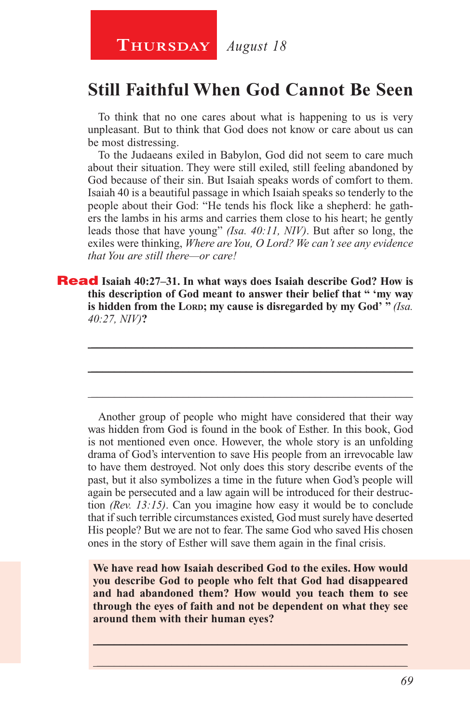#### **Thursday** *August 18*

### **Still Faithful When God Cannot Be Seen**

To think that no one cares about what is happening to us is very unpleasant. But to think that God does not know or care about us can be most distressing.

To the Judaeans exiled in Babylon, God did not seem to care much about their situation. They were still exiled, still feeling abandoned by God because of their sin. But Isaiah speaks words of comfort to them. Isaiah 40 is a beautiful passage in which Isaiah speaks so tenderly to the people about their God: "He tends his flock like a shepherd: he gathers the lambs in his arms and carries them close to his heart; he gently leads those that have young" *(Isa. 40:11, NIV)*. But after so long, the exiles were thinking, *Where are You, O Lord? We can't see any evidence that You are still there—or care!*

Read **Isaiah 40:27–31. In what ways does Isaiah describe God? How is this description of God meant to answer their belief that " 'my way**  is hidden from the Lord; my cause is disregarded by my God' " (Isa. *40:27, NIV)***?**

\_\_\_\_\_\_\_\_\_\_\_\_\_\_\_\_\_\_\_\_\_\_\_\_\_\_\_\_\_\_\_\_\_\_\_\_\_\_\_\_\_\_\_\_\_\_\_\_\_\_\_\_\_\_\_\_

\_\_\_\_\_\_\_\_\_\_\_\_\_\_\_\_\_\_\_\_\_\_\_\_\_\_\_\_\_\_\_\_\_\_\_\_\_\_\_\_\_\_\_\_\_\_\_\_\_\_\_\_\_\_\_\_

\_\_\_\_\_\_\_\_\_\_\_\_\_\_\_\_\_\_\_\_\_\_\_\_\_\_\_\_\_\_\_\_\_\_\_\_\_\_\_\_\_\_\_\_\_\_\_\_\_\_\_\_\_\_\_\_

Another group of people who might have considered that their way was hidden from God is found in the book of Esther. In this book, God is not mentioned even once. However, the whole story is an unfolding drama of God's intervention to save His people from an irrevocable law to have them destroyed. Not only does this story describe events of the past, but it also symbolizes a time in the future when God's people will again be persecuted and a law again will be introduced for their destruction *(Rev. 13:15)*. Can you imagine how easy it would be to conclude that if such terrible circumstances existed, God must surely have deserted His people? But we are not to fear. The same God who saved His chosen ones in the story of Esther will save them again in the final crisis.

**We have read how Isaiah described God to the exiles. How would you describe God to people who felt that God had disappeared and had abandoned them? How would you teach them to see through the eyes of faith and not be dependent on what they see around them with their human eyes?**

 $\_$  , and the set of the set of the set of the set of the set of the set of the set of the set of the set of the set of the set of the set of the set of the set of the set of the set of the set of the set of the set of th  $\_$  , and the set of the set of the set of the set of the set of the set of the set of the set of the set of the set of the set of the set of the set of the set of the set of the set of the set of the set of the set of th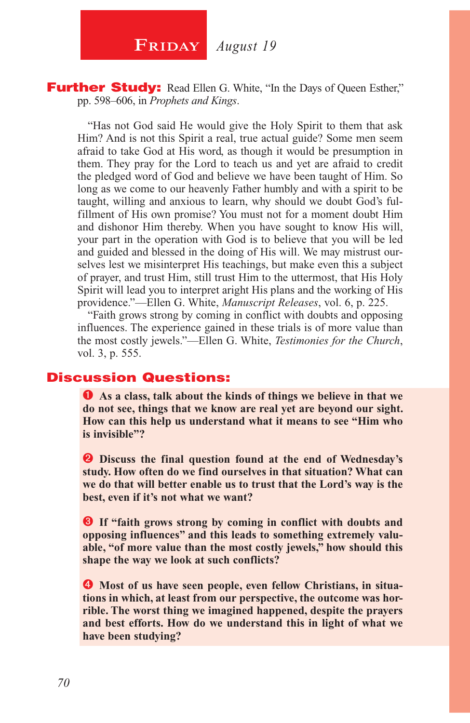$\begin{array}{|c|c|c|}\n \hline\n \textbf{FRIDAY} & \textit{August 19}\n \hline\n \end{array}$ 

**Further Study:** Read Ellen G. White, "In the Days of Queen Esther," pp. 598–606, in *Prophets and Kings*.

"Has not God said He would give the Holy Spirit to them that ask Him? And is not this Spirit a real, true actual guide? Some men seem afraid to take God at His word, as though it would be presumption in them. They pray for the Lord to teach us and yet are afraid to credit the pledged word of God and believe we have been taught of Him. So long as we come to our heavenly Father humbly and with a spirit to be taught, willing and anxious to learn, why should we doubt God's fulfillment of His own promise? You must not for a moment doubt Him and dishonor Him thereby. When you have sought to know His will, your part in the operation with God is to believe that you will be led and guided and blessed in the doing of His will. We may mistrust ourselves lest we misinterpret His teachings, but make even this a subject of prayer, and trust Him, still trust Him to the uttermost, that His Holy Spirit will lead you to interpret aright His plans and the working of His providence."—Ellen G. White, *Manuscript Releases*, vol. 6, p. 225.

"Faith grows strong by coming in conflict with doubts and opposing influences. The experience gained in these trials is of more value than the most costly jewels."—Ellen G. White, *Testimonies for the Church*, vol. 3, p. 555.

#### Discussion Questions:

 **As a class, talk about the kinds of things we believe in that we do not see, things that we know are real yet are beyond our sight. How can this help us understand what it means to see "Him who is invisible"?**

**2** Discuss the final question found at the end of Wednesday's **study. How often do we find ourselves in that situation? What can we do that will better enable us to trust that the Lord's way is the best, even if it's not what we want?**

**B** If "faith grows strong by coming in conflict with doubts and **opposing influences" and this leads to something extremely valuable, "of more value than the most costly jewels," how should this shape the way we look at such conflicts?**

 $\bullet$  Most of us have seen people, even fellow Christians, in situa**tions in which, at least from our perspective, the outcome was horrible. The worst thing we imagined happened, despite the prayers and best efforts. How do we understand this in light of what we have been studying?**